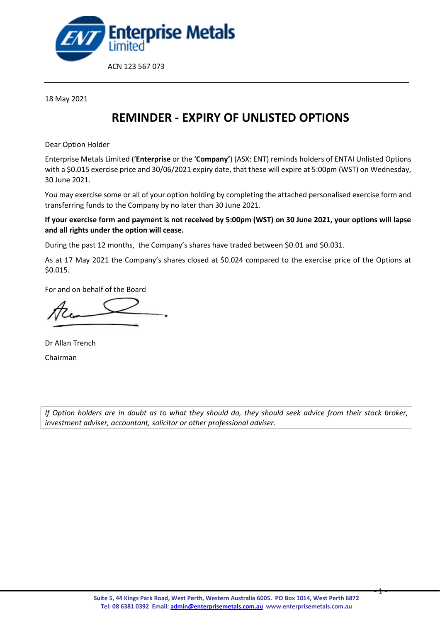

18 May 2021

## **REMINDER - EXPIRY OF UNLISTED OPTIONS**

Dear Option Holder

Enterprise Metals Limited ('**Enterprise** or the '**Company'**) (ASX: ENT) reminds holders of ENTAI Unlisted Options with a \$0.015 exercise price and 30/06/2021 expiry date, that these will expire at 5:00pm (WST) on Wednesday, 30 June 2021.

You may exercise some or all of your option holding by completing the attached personalised exercise form and transferring funds to the Company by no later than 30 June 2021.

**If your exercise form and payment is not received by 5:00pm (WST) on 30 June 2021, your options will lapse and all rights under the option will cease.** 

During the past 12 months, the Company's shares have traded between \$0.01 and \$0.031.

As at 17 May 2021 the Company's shares closed at \$0.024 compared to the exercise price of the Options at \$0.015.

For and on behalf of the Board

Dr Allan Trench Chairman

*If Option holders are in doubt as to what they should do, they should seek advice from their stock broker, investment adviser, accountant, solicitor or other professional adviser.* 

- 1